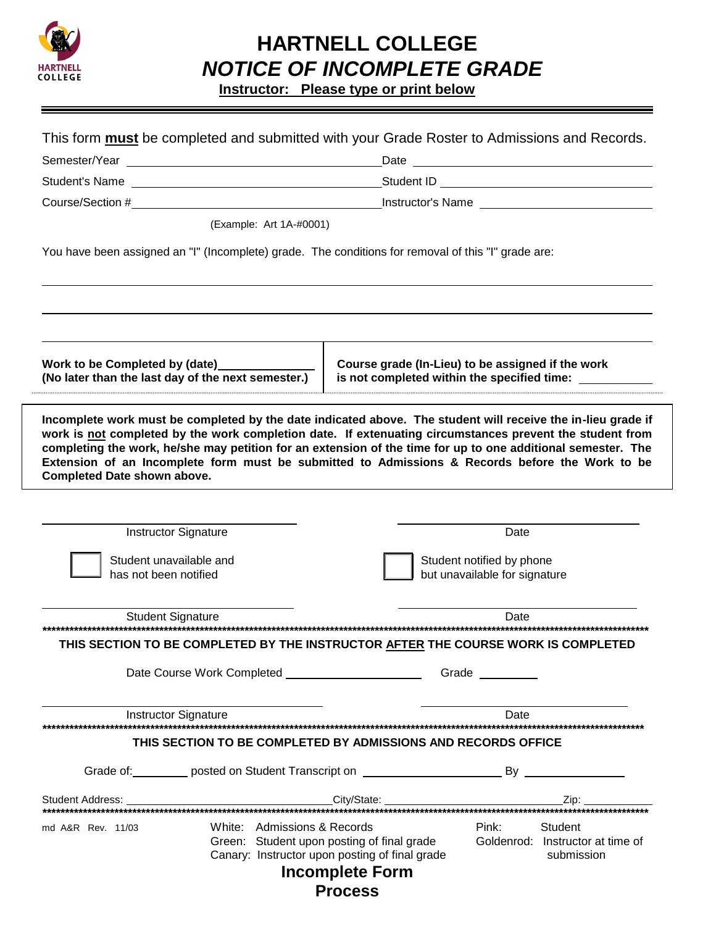

## **HARTNELL COLLEGE NOTICE OF INCOMPLETE GRADE**

**Instructor:** Please type or print below

|                                                                                                     | (Example: Art 1A-#0001)     |                                                                                              |                                                                                                                                                                                                                                                                                                                                                                                                                                             |
|-----------------------------------------------------------------------------------------------------|-----------------------------|----------------------------------------------------------------------------------------------|---------------------------------------------------------------------------------------------------------------------------------------------------------------------------------------------------------------------------------------------------------------------------------------------------------------------------------------------------------------------------------------------------------------------------------------------|
| You have been assigned an "I" (Incomplete) grade. The conditions for removal of this "I" grade are: |                             |                                                                                              |                                                                                                                                                                                                                                                                                                                                                                                                                                             |
| Work to be Completed by (date)<br>(No later than the last day of the next semester.)                |                             |                                                                                              | Course grade (In-Lieu) to be assigned if the work<br>is not completed within the specified time:                                                                                                                                                                                                                                                                                                                                            |
|                                                                                                     |                             |                                                                                              | Incomplete work must be completed by the date indicated above. The student will receive the in-lieu grade if<br>work is not completed by the work completion date. If extenuating circumstances prevent the student from<br>completing the work, he/she may petition for an extension of the time for up to one additional semester. The<br>Extension of an Incomplete form must be submitted to Admissions & Records before the Work to be |
|                                                                                                     |                             |                                                                                              |                                                                                                                                                                                                                                                                                                                                                                                                                                             |
| <b>Instructor Signature</b>                                                                         |                             |                                                                                              | Date                                                                                                                                                                                                                                                                                                                                                                                                                                        |
| Student unavailable and<br>has not been notified                                                    |                             |                                                                                              | Student notified by phone<br>but unavailable for signature                                                                                                                                                                                                                                                                                                                                                                                  |
| <b>Student Signature</b>                                                                            |                             |                                                                                              | Date                                                                                                                                                                                                                                                                                                                                                                                                                                        |
|                                                                                                     |                             |                                                                                              |                                                                                                                                                                                                                                                                                                                                                                                                                                             |
|                                                                                                     |                             |                                                                                              | THIS SECTION TO BE COMPLETED BY THE INSTRUCTOR AFTER THE COURSE WORK IS COMPLETED                                                                                                                                                                                                                                                                                                                                                           |
| <b>Completed Date shown above.</b>                                                                  |                             |                                                                                              | <b>Date</b>                                                                                                                                                                                                                                                                                                                                                                                                                                 |
| <b>Instructor Signature</b>                                                                         |                             | THIS SECTION TO BE COMPLETED BY ADMISSIONS AND RECORDS OFFICE                                |                                                                                                                                                                                                                                                                                                                                                                                                                                             |
|                                                                                                     |                             |                                                                                              |                                                                                                                                                                                                                                                                                                                                                                                                                                             |
|                                                                                                     |                             |                                                                                              |                                                                                                                                                                                                                                                                                                                                                                                                                                             |
| md A&R Rev. 11/03                                                                                   | White: Admissions & Records | Green: Student upon posting of final grade<br>Canary: Instructor upon posting of final grade | Pink:<br>Student<br>Goldenrod: Instructor at time of<br>submission                                                                                                                                                                                                                                                                                                                                                                          |